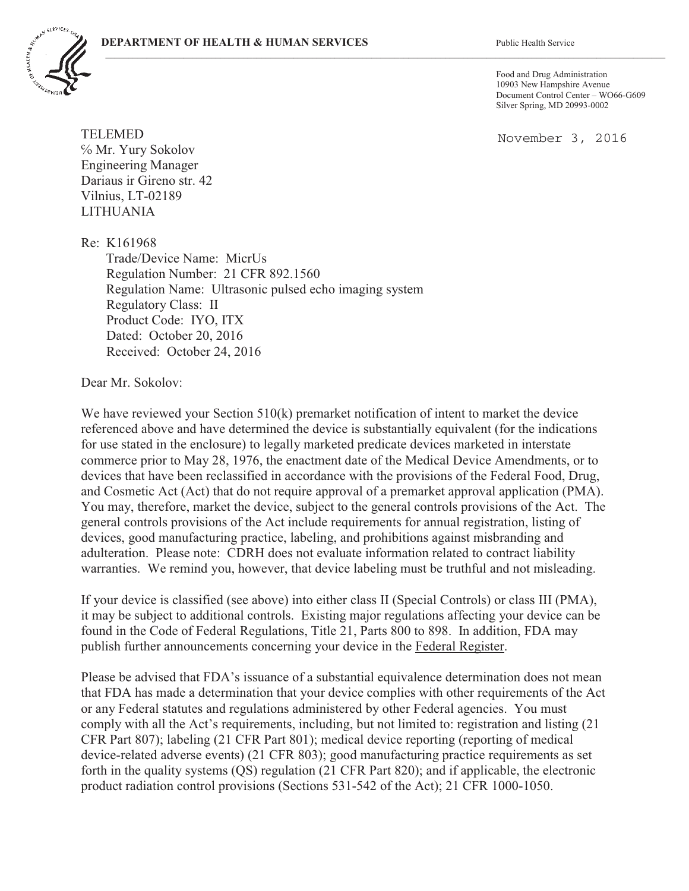

Food and Drug Administration 10903 New Hampshire Avenue Document Control Center – WO66-G609 Silver Spring, MD 20993-0002

November 3, 2016

TELEMED  $%$  Mr. Yury Sokolov Engineering Manager Dariaus ir Gireno str. 42 Vilnius, LT-02189 LITHUANIA

Re: K161968 Trade/Device Name: MicrUs Regulation Number: 21 CFR 892.1560 Regulation Name: Ultrasonic pulsed echo imaging system Regulatory Class: II Product Code: IYO, ITX Dated: October 20, 2016 Received: October 24, 2016

Dear Mr. Sokolov:

We have reviewed your Section 510(k) premarket notification of intent to market the device referenced above and have determined the device is substantially equivalent (for the indications for use stated in the enclosure) to legally marketed predicate devices marketed in interstate commerce prior to May 28, 1976, the enactment date of the Medical Device Amendments, or to devices that have been reclassified in accordance with the provisions of the Federal Food, Drug, and Cosmetic Act (Act) that do not require approval of a premarket approval application (PMA). You may, therefore, market the device, subject to the general controls provisions of the Act. The general controls provisions of the Act include requirements for annual registration, listing of devices, good manufacturing practice, labeling, and prohibitions against misbranding and adulteration. Please note: CDRH does not evaluate information related to contract liability warranties. We remind you, however, that device labeling must be truthful and not misleading.

 $\mathcal{L}_\mathcal{L} = \mathcal{L}_\mathcal{L} = \mathcal{L}_\mathcal{L} = \mathcal{L}_\mathcal{L} = \mathcal{L}_\mathcal{L} = \mathcal{L}_\mathcal{L} = \mathcal{L}_\mathcal{L} = \mathcal{L}_\mathcal{L} = \mathcal{L}_\mathcal{L} = \mathcal{L}_\mathcal{L} = \mathcal{L}_\mathcal{L} = \mathcal{L}_\mathcal{L} = \mathcal{L}_\mathcal{L} = \mathcal{L}_\mathcal{L} = \mathcal{L}_\mathcal{L} = \mathcal{L}_\mathcal{L} = \mathcal{L}_\mathcal{L}$ 

If your device is classified (see above) into either class II (Special Controls) or class III (PMA), it may be subject to additional controls. Existing major regulations affecting your device can be found in the Code of Federal Regulations, Title 21, Parts 800 to 898. In addition, FDA may publish further announcements concerning your device in the Federal Register.

Please be advised that FDA's issuance of a substantial equivalence determination does not mean that FDA has made a determination that your device complies with other requirements of the Act or any Federal statutes and regulations administered by other Federal agencies. You must comply with all the Act's requirements, including, but not limited to: registration and listing (21 CFR Part 807); labeling (21 CFR Part 801); medical device reporting (reporting of medical device-related adverse events) (21 CFR 803); good manufacturing practice requirements as set forth in the quality systems (QS) regulation (21 CFR Part 820); and if applicable, the electronic product radiation control provisions (Sections 531-542 of the Act); 21 CFR 1000-1050.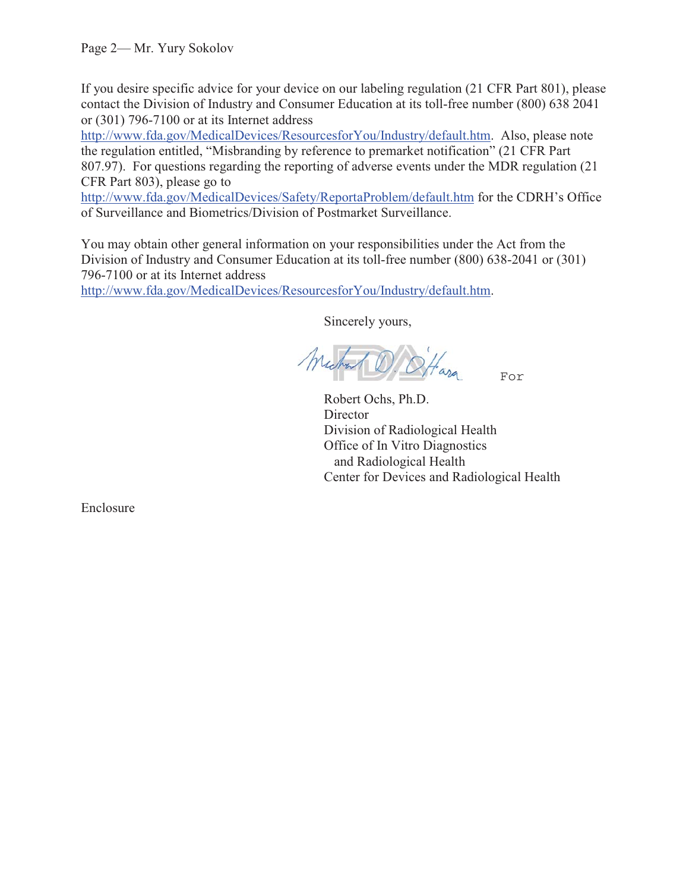If you desire specific advice for your device on our labeling regulation (21 CFR Part 801), please contact the Division of Industry and Consumer Education at its toll-free number (800) 638 2041 or (301) 796-7100 or at its Internet address

http://www.fda.gov/MedicalDevices/ResourcesforYou/Industry/default.htm. Also, please note the regulation entitled, "Misbranding by reference to premarket notification" (21 CFR Part 807.97). For questions regarding the reporting of adverse events under the MDR regulation (21 CFR Part 803), please go to

http://www.fda.gov/MedicalDevices/Safety/ReportaProblem/default.htm for the CDRH's Office of Surveillance and Biometrics/Division of Postmarket Surveillance.

You may obtain other general information on your responsibilities under the Act from the Division of Industry and Consumer Education at its toll-free number (800) 638-2041 or (301) 796-7100 or at its Internet address

http://www.fda.gov/MedicalDevices/ResourcesforYou/Industry/default.htm.

Sincerely yours,

For

Robert Ochs, Ph.D. **Director** Division of Radiological Health Office of In Vitro Diagnostics and Radiological Health Center for Devices and Radiological Health

Enclosure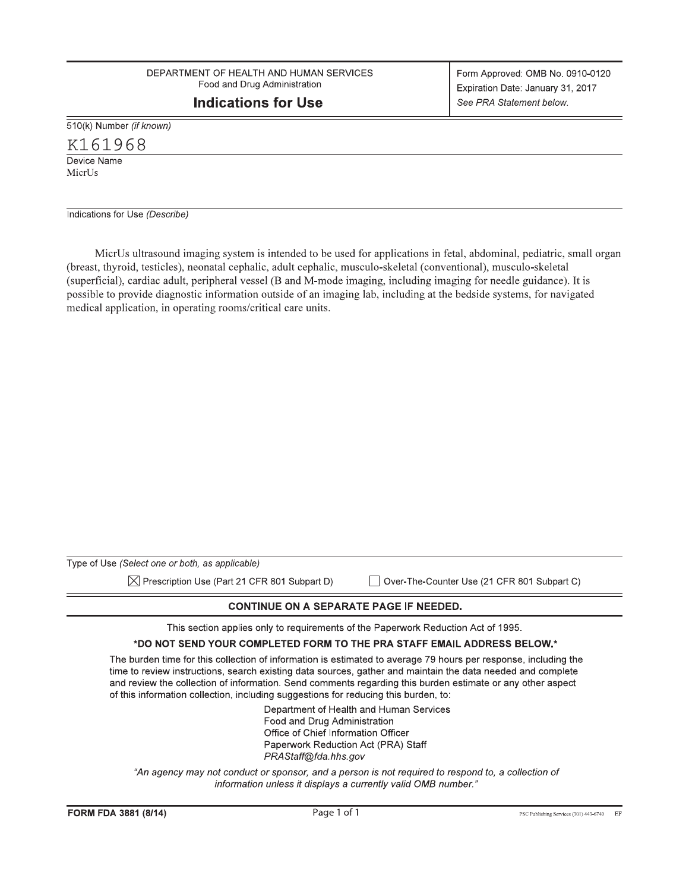DEPARTMENT OF HEALTH AND HUMAN SERVICES Food and Drug Administration

# **Indications for Use**

510(k) Number (if known)

 $K161968$ <br>Device Name

MicrUs

Indications for Use (Describe)

MicrUs ultrasound imaging system is intended to be used for applications in fetal, abdominal, pediatric, small organ (breast, thyroid, testicles), neonatal cephalic, adult cephalic, musculo-skeletal (conventional), musculo-skeletal (superficial), cardiac adult, peripheral vessel (B and M-mode imaging, including imaging for needle guidance). It is possible to provide diagnostic information outside of an imaging lab, including at the bedside systems, for navigated medical application, in operating rooms/critical care units.

| Type of Use (Select one or both, as applicable)                                                                                                                                                   |                                                                                                                                                                                                                                |
|---------------------------------------------------------------------------------------------------------------------------------------------------------------------------------------------------|--------------------------------------------------------------------------------------------------------------------------------------------------------------------------------------------------------------------------------|
| $\boxtimes$ Prescription Use (Part 21 CFR 801 Subpart D)                                                                                                                                          | Over-The-Counter Use (21 CFR 801 Subpart C)                                                                                                                                                                                    |
|                                                                                                                                                                                                   | <b>CONTINUE ON A SEPARATE PAGE IF NEEDED.</b>                                                                                                                                                                                  |
|                                                                                                                                                                                                   | This section applies only to requirements of the Paperwork Reduction Act of 1995.                                                                                                                                              |
|                                                                                                                                                                                                   | *DO NOT SEND YOUR COMPLETED FORM TO THE PRA STAFF EMAIL ADDRESS BELOW.*                                                                                                                                                        |
| and review the collection of information. Send comments regarding this burden estimate or any other aspect<br>of this information collection, including suggestions for reducing this burden, to: | The burden time for this collection of information is estimated to average 79 hours per response, including the<br>time to review instructions, search existing data sources, gather and maintain the data needed and complete |
| Food and Drug Administration<br>Office of Chief Information Officer<br>PRAStaff@fda.hhs.gov                                                                                                       | Department of Health and Human Services<br>Paperwork Reduction Act (PRA) Staff                                                                                                                                                 |
|                                                                                                                                                                                                   | "An agency may not conduct or sponsor, and a person is not required to respond to, a collection of<br>information unless it displays a currently valid OMB number."                                                            |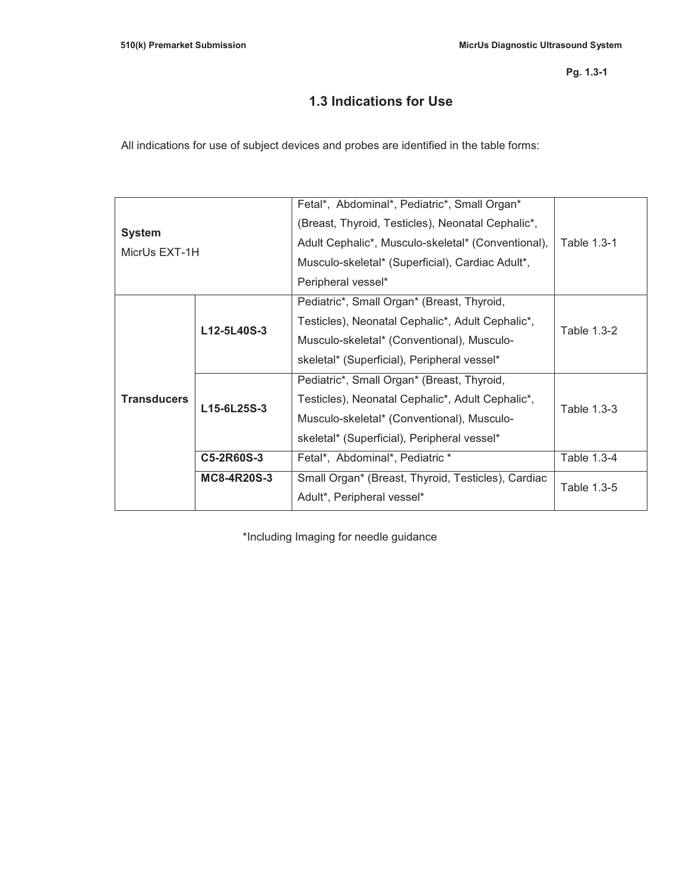# **1.3 Indications for Use**

All indications for use of subject devices and probes are identified in the table forms:

|                    | Fetal*, Abdominal*, Pediatric*, Small Organ*       |             |  |
|--------------------|----------------------------------------------------|-------------|--|
|                    | (Breast, Thyroid, Testicles), Neonatal Cephalic*,  |             |  |
|                    | Adult Cephalic*, Musculo-skeletal* (Conventional), | Table 1.3-1 |  |
|                    | Musculo-skeletal* (Superficial), Cardiac Adult*,   |             |  |
|                    | Peripheral vessel*                                 |             |  |
|                    | Pediatric*, Small Organ* (Breast, Thyroid,         |             |  |
| L12-5L40S-3        | Testicles), Neonatal Cephalic*, Adult Cephalic*,   | Table 1.3-2 |  |
|                    | Musculo-skeletal* (Conventional), Musculo-         |             |  |
|                    | skeletal* (Superficial), Peripheral vessel*        |             |  |
|                    | Pediatric*, Small Organ* (Breast, Thyroid,         |             |  |
| L15-6L25S-3        | Testicles), Neonatal Cephalic*, Adult Cephalic*,   |             |  |
|                    | Musculo-skeletal* (Conventional), Musculo-         | Table 1.3-3 |  |
|                    | skeletal* (Superficial), Peripheral vessel*        |             |  |
| C5-2R60S-3         | Fetal*, Abdominal*, Pediatric *                    | Table 1.3-4 |  |
| <b>MC8-4R20S-3</b> | Small Organ* (Breast, Thyroid, Testicles), Cardiac | Table 1.3-5 |  |
|                    | Adult*, Peripheral vessel*                         |             |  |
|                    | MicrUs EXT-1H                                      |             |  |

\*Including Imaging for needle guidance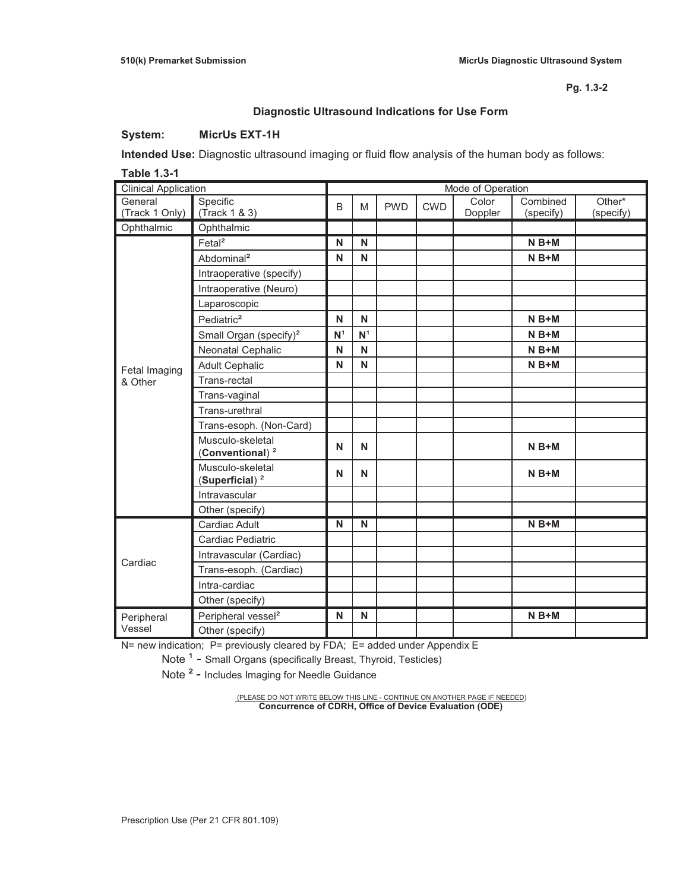## **Diagnostic Ultrasound Indications for Use Form**

### **System: MicrUs EXT-1H**

**Intended Use:** Diagnostic ultrasound imaging or fluid flow analysis of the human body as follows:

**Table 1.3-1** 

| <b>Clinical Application</b> |                                                 | Mode of Operation |                |            |            |                  |                       |                     |
|-----------------------------|-------------------------------------------------|-------------------|----------------|------------|------------|------------------|-----------------------|---------------------|
| General<br>(Track 1 Only)   | Specific<br>(Track 1 & 3)                       | B                 | M              | <b>PWD</b> | <b>CWD</b> | Color<br>Doppler | Combined<br>(specify) | Other*<br>(specify) |
| Ophthalmic                  | Ophthalmic                                      |                   |                |            |            |                  |                       |                     |
|                             | Fetal <sup>2</sup>                              | N                 | N              |            |            |                  | $N B+M$               |                     |
|                             | Abdominal <sup>2</sup>                          | N                 | N              |            |            |                  | $N B+M$               |                     |
|                             | Intraoperative (specify)                        |                   |                |            |            |                  |                       |                     |
|                             | Intraoperative (Neuro)                          |                   |                |            |            |                  |                       |                     |
|                             | Laparoscopic                                    |                   |                |            |            |                  |                       |                     |
|                             | Pediatric <sup>2</sup>                          | N                 | N              |            |            |                  | $N B+M$               |                     |
|                             | Small Organ (specify) <sup>2</sup>              | N <sup>1</sup>    | N <sup>1</sup> |            |            |                  | $N B+M$               |                     |
|                             | Neonatal Cephalic                               | N                 | N              |            |            |                  | $N B+M$               |                     |
| Fetal Imaging               | <b>Adult Cephalic</b>                           | N                 | N              |            |            |                  | $N B+M$               |                     |
| & Other                     | Trans-rectal                                    |                   |                |            |            |                  |                       |                     |
|                             | Trans-vaginal                                   |                   |                |            |            |                  |                       |                     |
|                             | Trans-urethral                                  |                   |                |            |            |                  |                       |                     |
|                             | Trans-esoph. (Non-Card)                         |                   |                |            |            |                  |                       |                     |
|                             | Musculo-skeletal<br>(Conventional) <sup>2</sup> | N                 | N              |            |            |                  | $N B+M$               |                     |
|                             | Musculo-skeletal<br>(Superficial) $2$           | N                 | N              |            |            |                  | $N B+M$               |                     |
|                             | Intravascular                                   |                   |                |            |            |                  |                       |                     |
|                             | Other (specify)                                 |                   |                |            |            |                  |                       |                     |
|                             | Cardiac Adult                                   | N                 | N              |            |            |                  | $N B+M$               |                     |
|                             | Cardiac Pediatric                               |                   |                |            |            |                  |                       |                     |
| Cardiac                     | Intravascular (Cardiac)                         |                   |                |            |            |                  |                       |                     |
|                             | Trans-esoph. (Cardiac)                          |                   |                |            |            |                  |                       |                     |
|                             | Intra-cardiac                                   |                   |                |            |            |                  |                       |                     |
|                             | Other (specify)                                 |                   |                |            |            |                  |                       |                     |
| Peripheral                  | Peripheral vessel <sup>2</sup>                  | N                 | N              |            |            |                  | $N B+M$               |                     |
| Vessel                      | Other (specify)                                 |                   |                |            |            |                  |                       |                     |

N= new indication; P= previously cleared by FDA; E= added under Appendix E

Note <sup>1</sup> - Small Organs (specifically Breast, Thyroid, Testicles)

Note<sup>2</sup> - Includes Imaging for Needle Guidance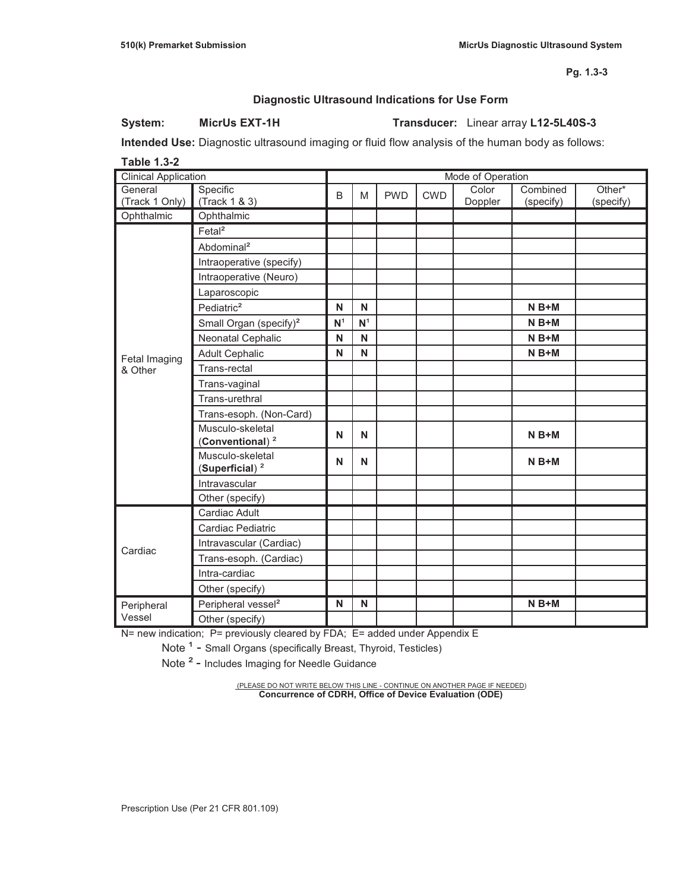### **Diagnostic Ultrasound Indications for Use Form**

### **System: MicrUs EXT-1H Transducer:** Linear array **L12-5L40S-3**

**Intended Use:** Diagnostic ultrasound imaging or fluid flow analysis of the human body as follows:

**Table 1.3-2**  Clinical Application **Mode of Operation** Mode of Operation General (Track 1 Only) Specific (Track 1 & 3) B M PWD CWD Color Doppler Combined (specify) Other\* (specify) Ophthalmic Ophthalmic Fetal Imaging & Other Fetal² Abdominal² Intraoperative (specify) Intraoperative (Neuro) Laparoscopic Pediatric<sup>2</sup> **N N N N | N | N | N B+M** Small Organ (specify)² **N**¹ **N**¹ **N B+M**  Neonatal Cephalic **N N N B+M**  Adult Cephalic **N N N N N | N | N | N B+M** Trans-rectal Trans-vaginal Trans-urethral Trans-esoph. (Non-Card) Musculo-skeletal wusculo-skeletal<br>(Conventional)<sup>2</sup> N | N | N | N | N | N **B+M** Musculo-skeletal (Superficial)<sup>2</sup> **N** | **N** | **N** | **N** | **N** | **N** B+M Intravascular Other (specify) Cardiac Cardiac Adult Cardiac Pediatric Intravascular (Cardiac) Trans-esoph. (Cardiac) Intra-cardiac Other (specify) Peripheral Vessel Peripheral vessel<sup>2</sup> **N** N **N N H I H N B+M** Other (specify)

N= new indication; P= previously cleared by FDA; E= added under Appendix E

Note<sup>1</sup> - Small Organs (specifically Breast, Thyroid, Testicles)

Note<sup>2</sup> - Includes Imaging for Needle Guidance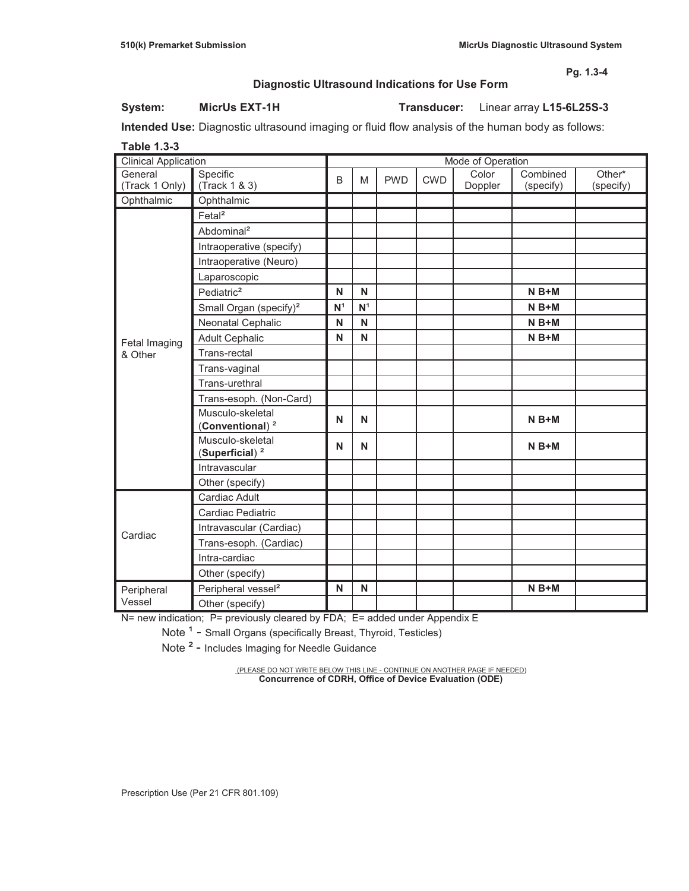### **Diagnostic Ultrasound Indications for Use Form**

### **System: MicrUs EXT-1H Transducer:** Linear array **L15-6L25S-3**

**Intended Use:** Diagnostic ultrasound imaging or fluid flow analysis of the human body as follows:

| <b>Table 1.3-3</b>          |                                                 |                |                |            |            |                   |                       |                     |
|-----------------------------|-------------------------------------------------|----------------|----------------|------------|------------|-------------------|-----------------------|---------------------|
| <b>Clinical Application</b> |                                                 |                |                |            |            | Mode of Operation |                       |                     |
| General<br>(Track 1 Only)   | Specific<br>(Track 1 & 3)                       | B              | M              | <b>PWD</b> | <b>CWD</b> | Color<br>Doppler  | Combined<br>(specify) | Other*<br>(specify) |
| Ophthalmic                  | Ophthalmic                                      |                |                |            |            |                   |                       |                     |
|                             | Fetal <sup>2</sup>                              |                |                |            |            |                   |                       |                     |
|                             | Abdominal <sup>2</sup>                          |                |                |            |            |                   |                       |                     |
|                             | Intraoperative (specify)                        |                |                |            |            |                   |                       |                     |
|                             | Intraoperative (Neuro)                          |                |                |            |            |                   |                       |                     |
|                             | Laparoscopic                                    |                |                |            |            |                   |                       |                     |
|                             | Pediatric <sup>2</sup>                          | N              | N              |            |            |                   | $N B+M$               |                     |
|                             | Small Organ (specify) <sup>2</sup>              | N <sup>1</sup> | N <sup>1</sup> |            |            |                   | $N B+M$               |                     |
|                             | Neonatal Cephalic                               | N              | N              |            |            |                   | $N B+M$               |                     |
| Fetal Imaging               | <b>Adult Cephalic</b>                           | N              | N              |            |            |                   | $N B+M$               |                     |
| & Other                     | Trans-rectal                                    |                |                |            |            |                   |                       |                     |
|                             | Trans-vaginal                                   |                |                |            |            |                   |                       |                     |
|                             | Trans-urethral                                  |                |                |            |            |                   |                       |                     |
|                             | Trans-esoph. (Non-Card)                         |                |                |            |            |                   |                       |                     |
|                             | Musculo-skeletal<br>(Conventional) <sup>2</sup> | N              | N              |            |            |                   | $N B+M$               |                     |
|                             | Musculo-skeletal<br>(Superficial) <sup>2</sup>  | N              | N              |            |            |                   | $N B+M$               |                     |
|                             | Intravascular                                   |                |                |            |            |                   |                       |                     |
|                             | Other (specify)                                 |                |                |            |            |                   |                       |                     |
|                             | Cardiac Adult                                   |                |                |            |            |                   |                       |                     |
|                             | Cardiac Pediatric                               |                |                |            |            |                   |                       |                     |
| Cardiac                     | Intravascular (Cardiac)                         |                |                |            |            |                   |                       |                     |
|                             | Trans-esoph. (Cardiac)                          |                |                |            |            |                   |                       |                     |
|                             | Intra-cardiac                                   |                |                |            |            |                   |                       |                     |
|                             | Other (specify)                                 |                |                |            |            |                   |                       |                     |
| Peripheral                  | Peripheral vessel <sup>2</sup>                  | N              | N              |            |            |                   | $N B+M$               |                     |
| Vessel                      | Other (specify)                                 |                |                |            |            |                   |                       |                     |

N= new indication; P= previously cleared by FDA; E= added under Appendix E

Note<sup>1</sup> - Small Organs (specifically Breast, Thyroid, Testicles)

Note<sup>2</sup> - Includes Imaging for Needle Guidance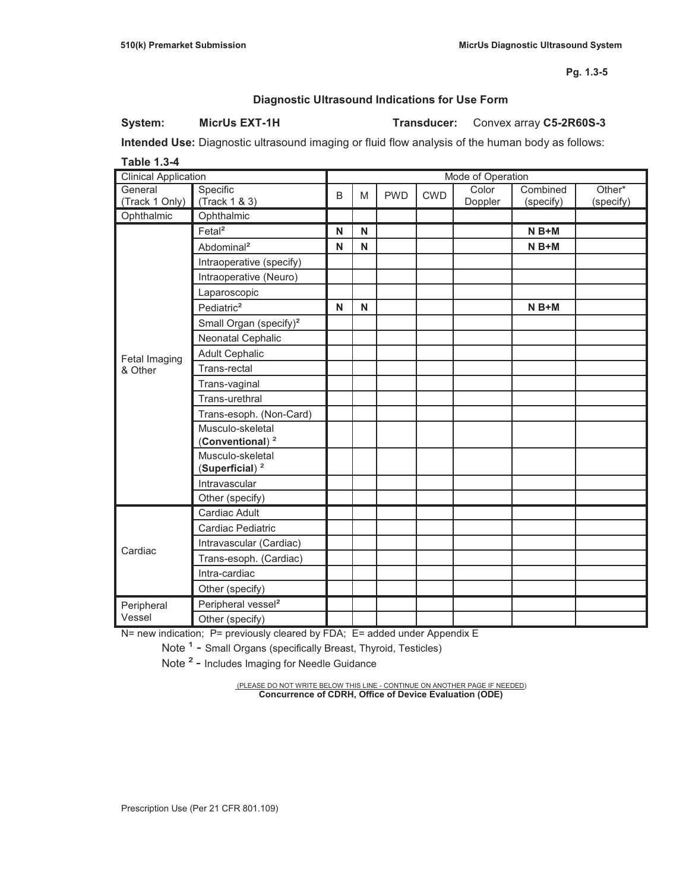### **Diagnostic Ultrasound Indications for Use Form**

**System: MicrUs EXT-1H Transducer:** Convex array **C5-2R60S-3**

**Intended Use:** Diagnostic ultrasound imaging or fluid flow analysis of the human body as follows:

**Table 1.3-4** 

| <b>Clinical Application</b> |                                                 | Mode of Operation |   |            |            |                  |                       |                     |
|-----------------------------|-------------------------------------------------|-------------------|---|------------|------------|------------------|-----------------------|---------------------|
| General<br>(Track 1 Only)   | Specific<br>(Track 1 & 3)                       | B                 | M | <b>PWD</b> | <b>CWD</b> | Color<br>Doppler | Combined<br>(specify) | Other*<br>(specify) |
| Ophthalmic                  | Ophthalmic                                      |                   |   |            |            |                  |                       |                     |
|                             | Fetal <sup>2</sup>                              | N                 | N |            |            |                  | $N B+M$               |                     |
|                             | Abdominal <sup>2</sup>                          | N                 | N |            |            |                  | $N B+M$               |                     |
|                             | Intraoperative (specify)                        |                   |   |            |            |                  |                       |                     |
|                             | Intraoperative (Neuro)                          |                   |   |            |            |                  |                       |                     |
|                             | Laparoscopic                                    |                   |   |            |            |                  |                       |                     |
|                             | Pediatric <sup>2</sup>                          | N                 | N |            |            |                  | $N B+M$               |                     |
|                             | Small Organ (specify) <sup>2</sup>              |                   |   |            |            |                  |                       |                     |
|                             | Neonatal Cephalic                               |                   |   |            |            |                  |                       |                     |
| Fetal Imaging               | <b>Adult Cephalic</b>                           |                   |   |            |            |                  |                       |                     |
| & Other                     | Trans-rectal                                    |                   |   |            |            |                  |                       |                     |
|                             | Trans-vaginal                                   |                   |   |            |            |                  |                       |                     |
|                             | Trans-urethral                                  |                   |   |            |            |                  |                       |                     |
|                             | Trans-esoph. (Non-Card)                         |                   |   |            |            |                  |                       |                     |
|                             | Musculo-skeletal<br>(Conventional) <sup>2</sup> |                   |   |            |            |                  |                       |                     |
|                             | Musculo-skeletal<br>(Superficial) <sup>2</sup>  |                   |   |            |            |                  |                       |                     |
|                             | Intravascular                                   |                   |   |            |            |                  |                       |                     |
|                             | Other (specify)                                 |                   |   |            |            |                  |                       |                     |
|                             | Cardiac Adult                                   |                   |   |            |            |                  |                       |                     |
|                             | Cardiac Pediatric                               |                   |   |            |            |                  |                       |                     |
| Cardiac                     | Intravascular (Cardiac)                         |                   |   |            |            |                  |                       |                     |
|                             | Trans-esoph. (Cardiac)                          |                   |   |            |            |                  |                       |                     |
|                             | Intra-cardiac                                   |                   |   |            |            |                  |                       |                     |
|                             | Other (specify)                                 |                   |   |            |            |                  |                       |                     |
| Peripheral                  | Peripheral vessel <sup>2</sup>                  |                   |   |            |            |                  |                       |                     |
| Vessel                      | Other (specify)                                 |                   |   |            |            |                  |                       |                     |

N= new indication; P= previously cleared by FDA; E= added under Appendix E

Note <sup>1</sup> - Small Organs (specifically Breast, Thyroid, Testicles)

Note<sup>2</sup> - Includes Imaging for Needle Guidance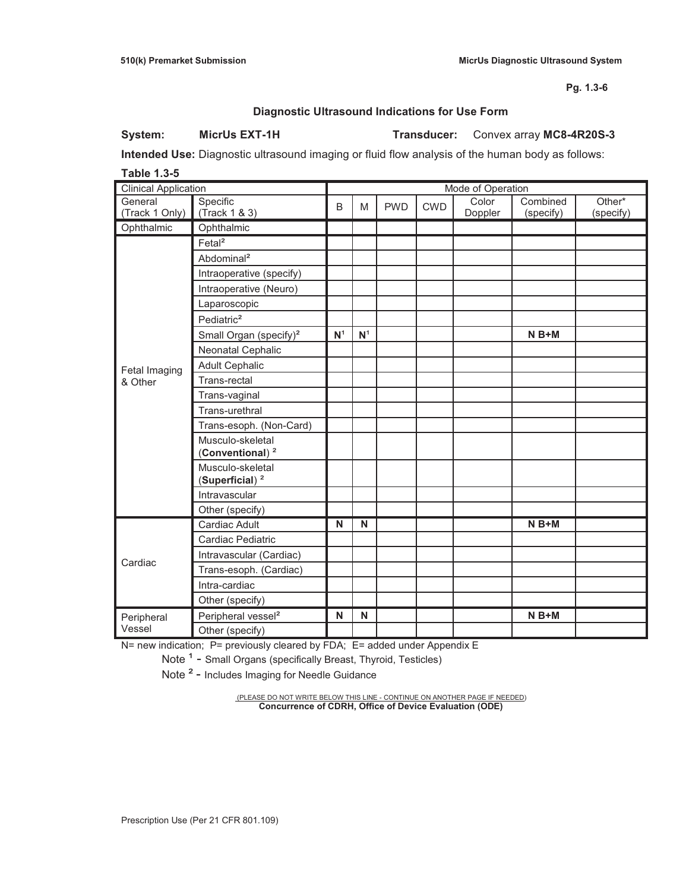### **Diagnostic Ultrasound Indications for Use Form**

**System: MicrUs EXT-1H Transducer:** Convex array **MC8-4R20S-3**

**Intended Use:** Diagnostic ultrasound imaging or fluid flow analysis of the human body as follows:

**Table 1.3-5** 

| <b>Clinical Application</b> |                                                 | Mode of Operation |                |            |            |                  |                       |                     |
|-----------------------------|-------------------------------------------------|-------------------|----------------|------------|------------|------------------|-----------------------|---------------------|
| General<br>(Track 1 Only)   | Specific<br>(Track 1 & 3)                       | B                 | M              | <b>PWD</b> | <b>CWD</b> | Color<br>Doppler | Combined<br>(specify) | Other*<br>(specify) |
| Ophthalmic                  | Ophthalmic                                      |                   |                |            |            |                  |                       |                     |
|                             | Fetal <sup>2</sup>                              |                   |                |            |            |                  |                       |                     |
|                             | Abdominal <sup>2</sup>                          |                   |                |            |            |                  |                       |                     |
|                             | Intraoperative (specify)                        |                   |                |            |            |                  |                       |                     |
|                             | Intraoperative (Neuro)                          |                   |                |            |            |                  |                       |                     |
|                             | Laparoscopic                                    |                   |                |            |            |                  |                       |                     |
|                             | Pediatric <sup>2</sup>                          |                   |                |            |            |                  |                       |                     |
|                             | Small Organ (specify) <sup>2</sup>              | N <sup>1</sup>    | $\mathsf{N}^1$ |            |            |                  | $N B+M$               |                     |
|                             | Neonatal Cephalic                               |                   |                |            |            |                  |                       |                     |
| Fetal Imaging               | <b>Adult Cephalic</b>                           |                   |                |            |            |                  |                       |                     |
| & Other                     | Trans-rectal                                    |                   |                |            |            |                  |                       |                     |
|                             | Trans-vaginal                                   |                   |                |            |            |                  |                       |                     |
|                             | Trans-urethral                                  |                   |                |            |            |                  |                       |                     |
|                             | Trans-esoph. (Non-Card)                         |                   |                |            |            |                  |                       |                     |
|                             | Musculo-skeletal<br>(Conventional) <sup>2</sup> |                   |                |            |            |                  |                       |                     |
|                             | Musculo-skeletal<br>(Superficial) <sup>2</sup>  |                   |                |            |            |                  |                       |                     |
|                             | Intravascular                                   |                   |                |            |            |                  |                       |                     |
|                             | Other (specify)                                 |                   |                |            |            |                  |                       |                     |
|                             | Cardiac Adult                                   | N                 | N              |            |            |                  | $N B+M$               |                     |
|                             | Cardiac Pediatric                               |                   |                |            |            |                  |                       |                     |
| Cardiac                     | Intravascular (Cardiac)                         |                   |                |            |            |                  |                       |                     |
|                             | Trans-esoph. (Cardiac)                          |                   |                |            |            |                  |                       |                     |
|                             | Intra-cardiac                                   |                   |                |            |            |                  |                       |                     |
|                             | Other (specify)                                 |                   |                |            |            |                  |                       |                     |
| Peripheral                  | Peripheral vessel <sup>2</sup>                  | N                 | N              |            |            |                  | $N B+M$               |                     |
| Vessel                      | Other (specify)                                 |                   |                |            |            |                  |                       |                     |

N= new indication; P= previously cleared by FDA; E= added under Appendix E

Note <sup>1</sup> - Small Organs (specifically Breast, Thyroid, Testicles)

Note<sup>2</sup> - Includes Imaging for Needle Guidance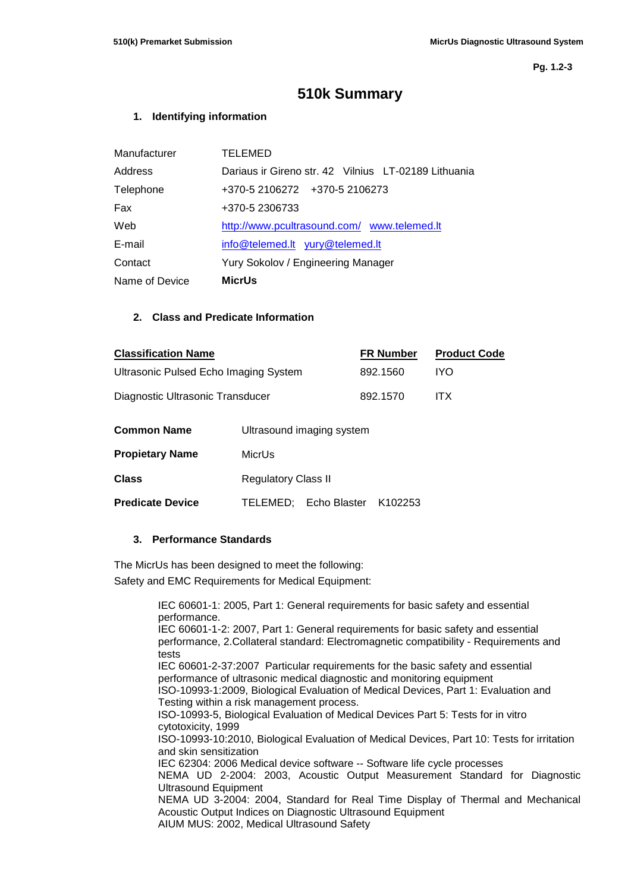**Pg. 1.2-3**

# **510k Summary**

### **1. Identifying information**

| Manufacturer   | TELEMED                                              |
|----------------|------------------------------------------------------|
| Address        | Dariaus ir Gireno str. 42 Vilnius LT-02189 Lithuania |
| Telephone      | +370-5 2106272 +370-5 2106273                        |
| Fax            | +370-5 2306733                                       |
| Web            | http://www.pcultrasound.com/ www.telemed.lt          |
| E-mail         | <u>info@telemed.lt yury@telemed.lt</u>               |
| Contact        | Yury Sokolov / Engineering Manager                   |
| Name of Device | <b>MicrUs</b>                                        |

### **2. Class and Predicate Information**

| <b>Classification Name</b>            |                           | <b>FR Number</b> | <b>Product Code</b> |
|---------------------------------------|---------------------------|------------------|---------------------|
| Ultrasonic Pulsed Echo Imaging System |                           | 892.1560         | IYO.                |
| Diagnostic Ultrasonic Transducer      |                           | 892.1570         | ITX.                |
| Common Name                           | Ultrasound imaging system |                  |                     |

| <b>Propietary Name</b>  | MicrUs                     |                               |  |  |  |
|-------------------------|----------------------------|-------------------------------|--|--|--|
| <b>Class</b>            | <b>Regulatory Class II</b> |                               |  |  |  |
| <b>Predicate Device</b> |                            | TELEMED; Echo Blaster K102253 |  |  |  |

### **3. Performance Standards**

The MicrUs has been designed to meet the following: Safety and EMC Requirements for Medical Equipment:

> IEC 60601-1: 2005, Part 1: General requirements for basic safety and essential performance. IEC 60601-1-2: 2007, Part 1: General requirements for basic safety and essential performance, 2.Collateral standard: Electromagnetic compatibility - Requirements and tests IEC 60601-2-37:2007 Particular requirements for the basic safety and essential performance of ultrasonic medical diagnostic and monitoring equipment ISO-10993-1:2009, Biological Evaluation of Medical Devices, Part 1: Evaluation and Testing within a risk management process. ISO-10993-5, Biological Evaluation of Medical Devices Part 5: Tests for in vitro cytotoxicity, 1999 ISO-10993-10:2010, Biological Evaluation of Medical Devices, Part 10: Tests for irritation and skin sensitization IEC 62304: 2006 Medical device software -- Software life cycle processes NEMA UD 2-2004: 2003, Acoustic Output Measurement Standard for Diagnostic Ultrasound Equipment NEMA UD 3-2004: 2004, Standard for Real Time Display of Thermal and Mechanical Acoustic Output Indices on Diagnostic Ultrasound Equipment AIUM MUS: 2002, Medical Ultrasound Safety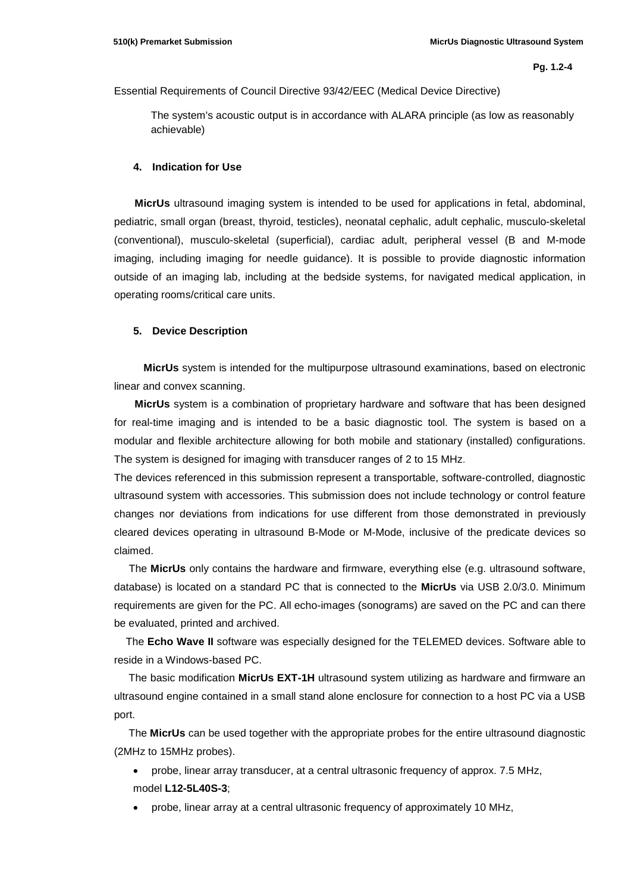Essential Requirements of Council Directive 93/42/EEC (Medical Device Directive)

The system's acoustic output is in accordance with ALARA principle (as low as reasonably achievable)

#### **4. Indication for Use**

 **MicrUs** ultrasound imaging system is intended to be used for applications in fetal, abdominal, pediatric, small organ (breast, thyroid, testicles), neonatal cephalic, adult cephalic, musculo-skeletal (conventional), musculo-skeletal (superficial), cardiac adult, peripheral vessel (B and M-mode imaging, including imaging for needle guidance). It is possible to provide diagnostic information outside of an imaging lab, including at the bedside systems, for navigated medical application, in operating rooms/critical care units.

#### **5. Device Description**

 **MicrUs** system is intended for the multipurpose ultrasound examinations, based on electronic linear and convex scanning.

 **MicrUs** system is a combination of proprietary hardware and software that has been designed for real-time imaging and is intended to be a basic diagnostic tool. The system is based on a modular and flexible architecture allowing for both mobile and stationary (installed) configurations. The system is designed for imaging with transducer ranges of 2 to 15 MHz.

The devices referenced in this submission represent a transportable, software-controlled, diagnostic ultrasound system with accessories. This submission does not include technology or control feature changes nor deviations from indications for use different from those demonstrated in previously cleared devices operating in ultrasound B-Mode or M-Mode, inclusive of the predicate devices so claimed.

 The **MicrUs** only contains the hardware and firmware, everything else (e.g. ultrasound software, database) is located on a standard PC that is connected to the **MicrUs** via USB 2.0/3.0. Minimum requirements are given for the PC. All echo-images (sonograms) are saved on the PC and can there be evaluated, printed and archived.

 The **Echo Wave II** software was especially designed for the TELEMED devices. Software able to reside in a Windows-based PC.

 The basic modification **MicrUs EXT-1H** ultrasound system utilizing as hardware and firmware an ultrasound engine contained in a small stand alone enclosure for connection to a host PC via a USB port.

 The **MicrUs** can be used together with the appropriate probes for the entire ultrasound diagnostic (2MHz to 15MHz probes).

- probe, linear array transducer, at a central ultrasonic frequency of approx. 7.5 MHz, model **L12-5L40S-3**;
- probe, linear array at a central ultrasonic frequency of approximately 10 MHz,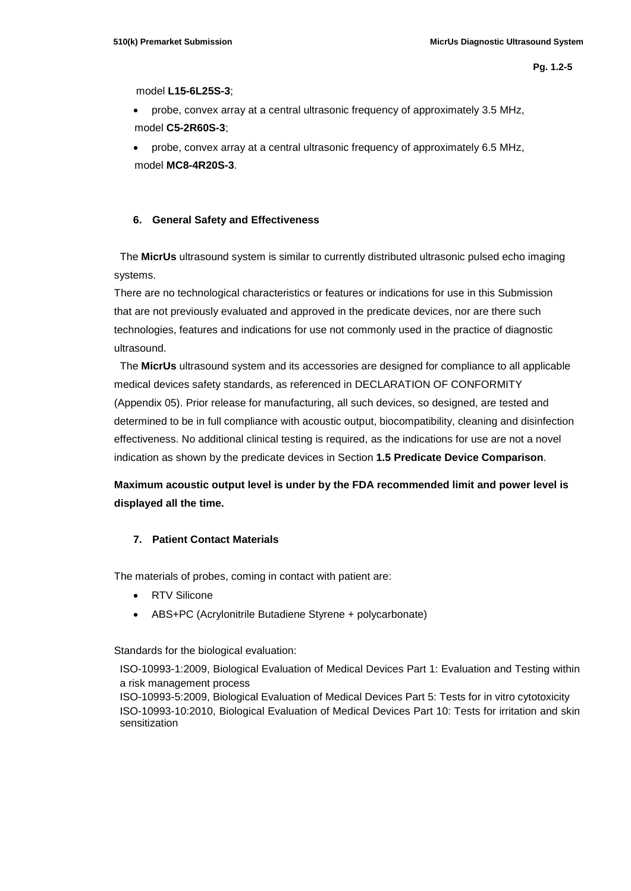model **L15-6L25S-3**;

• probe, convex array at a central ultrasonic frequency of approximately 3.5 MHz, model **C5-2R60S-3**;

• probe, convex array at a central ultrasonic frequency of approximately 6.5 MHz, model **MC8-4R20S-3**.

### **6. General Safety and Effectiveness**

 The **MicrUs** ultrasound system is similar to currently distributed ultrasonic pulsed echo imaging systems.

There are no technological characteristics or features or indications for use in this Submission that are not previously evaluated and approved in the predicate devices, nor are there such technologies, features and indications for use not commonly used in the practice of diagnostic ultrasound.

 The **MicrUs** ultrasound system and its accessories are designed for compliance to all applicable medical devices safety standards, as referenced in DECLARATION OF CONFORMITY (Appendix 05). Prior release for manufacturing, all such devices, so designed, are tested and determined to be in full compliance with acoustic output, biocompatibility, cleaning and disinfection effectiveness. No additional clinical testing is required, as the indications for use are not a novel indication as shown by the predicate devices in Section **1.5 Predicate Device Comparison**.

**Maximum acoustic output level is under by the FDA recommended limit and power level is displayed all the time.**

### **7. Patient Contact Materials**

The materials of probes, coming in contact with patient are:

- RTV Silicone
- ABS+PC (Acrylonitrile Butadiene Styrene + polycarbonate)

Standards for the biological evaluation:

ISO-10993-1:2009, Biological Evaluation of Medical Devices Part 1: Evaluation and Testing within a risk management process

ISO-10993-5:2009, Biological Evaluation of Medical Devices Part 5: Tests for in vitro cytotoxicity ISO-10993-10:2010, Biological Evaluation of Medical Devices Part 10: Tests for irritation and skin sensitization